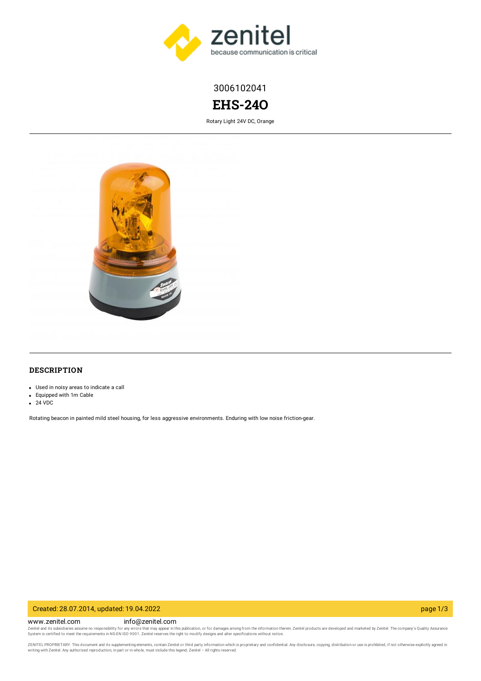

3006102041

# **EHS-24O**

Rotary Light 24V DC, Orange



# **DESCRIPTION**

- Used in noisy areas to indicate a call
- Equipped with 1m Cable
- 24 VDC

Rotating beacon in painted mild steel housing, for less aggressive environments. Enduring with low noise friction-gear.

#### Created: 28.07.2014, updated: 19.04.2022 page 1/3

www.zenitel.com info@zenitel.com Zenitel and its subsidiaries assume no responsibility for any errors that may appear in this publication, or for damages arising from the information therein. Zenitel products are developed and marketed by Zenitel. The com

ZENITEL PROPRIETARY. This document and its supplementing elements, contain Zenitel or third party information which is proprietary and confidential. Any disclosure, copying, distribution or use is prohibited, if not otherw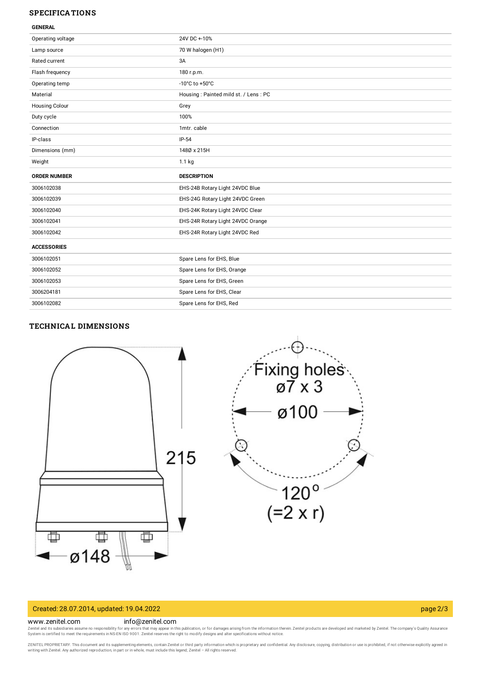# **SPECIFICATIONS**

| Operating voltage     | 24V DC +-10%                         |
|-----------------------|--------------------------------------|
| Lamp source           | 70 W halogen (H1)                    |
| Rated current         | 3A                                   |
| Flash frequency       | 180 r.p.m.                           |
| Operating temp        | -10 $^{\circ}$ C to +50 $^{\circ}$ C |
| Material              | Housing: Painted mild st. / Lens: PC |
| <b>Housing Colour</b> | Grey                                 |
| Duty cycle            | 100%                                 |
| Connection            | 1mtr. cable                          |
| IP-class              | $IP-54$                              |
| Dimensions (mm)       | 1480 x 215H                          |
| Weight                | $1.1$ kg                             |
|                       |                                      |
| <b>ORDER NUMBER</b>   | <b>DESCRIPTION</b>                   |
| 3006102038            | EHS-24B Rotary Light 24VDC Blue      |
| 3006102039            | EHS-24G Rotary Light 24VDC Green     |
| 3006102040            | EHS-24K Rotary Light 24VDC Clear     |
| 3006102041            | EHS-24R Rotary Light 24VDC Orange    |
| 3006102042            | EHS-24R Rotary Light 24VDC Red       |
| <b>ACCESSORIES</b>    |                                      |
| 3006102051            | Spare Lens for EHS, Blue             |
| 3006102052            | Spare Lens for EHS, Orange           |
| 3006102053            | Spare Lens for EHS, Green            |
| 3006204181            | Spare Lens for EHS, Clear            |

### **TECHNICAL DIMENSIONS**



#### Created: 28.07.2014, updated: 19.04.2022 page 2/3

#### www.zenitel.com info@zenitel.com

Zenitel and its subsidiaries assume no responsibility for any errors that may appear in this publication, or for damages arising from the information therein. Zenitel products are developed and marketed by Zenitel. The com

ZENITEL PROPRIETARY. This document and its supplementing elements, contain Zenitel or third party information which is proprietary and confidential. Any disclosure, copying, distribution or use is prohibited, if not otherw